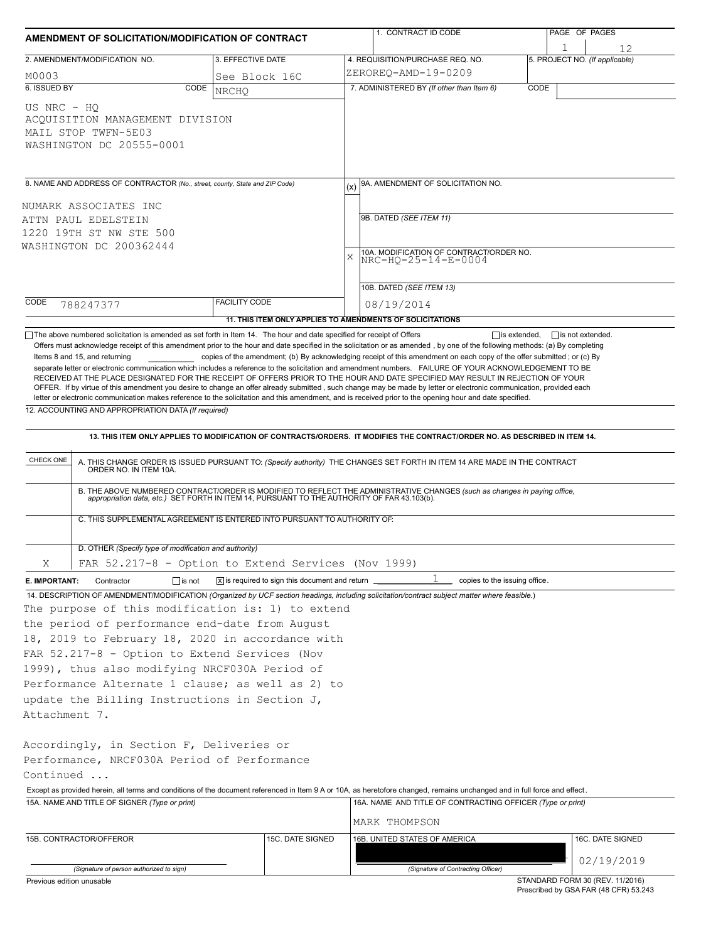| AMENDMENT OF SOLICITATION/MODIFICATION OF CONTRACT<br>2. AMENDMENT/MODIFICATION NO.<br>3. EFFECTIVE DATE                                                                                                                                                                                                                                                                                                                                                                                                                                                                                                                                                       |                                                                            |     | 1. CONTRACT ID CODE                                                                                                                                                                                                   |      | PAGE OF PAGES                        |  |  |  |
|----------------------------------------------------------------------------------------------------------------------------------------------------------------------------------------------------------------------------------------------------------------------------------------------------------------------------------------------------------------------------------------------------------------------------------------------------------------------------------------------------------------------------------------------------------------------------------------------------------------------------------------------------------------|----------------------------------------------------------------------------|-----|-----------------------------------------------------------------------------------------------------------------------------------------------------------------------------------------------------------------------|------|--------------------------------------|--|--|--|
|                                                                                                                                                                                                                                                                                                                                                                                                                                                                                                                                                                                                                                                                |                                                                            |     | 4. REQUISITION/PURCHASE REQ. NO.                                                                                                                                                                                      |      | 12<br>5. PROJECT NO. (If applicable) |  |  |  |
| M0003                                                                                                                                                                                                                                                                                                                                                                                                                                                                                                                                                                                                                                                          | See Block 16C                                                              |     | ZEROREO-AMD-19-0209                                                                                                                                                                                                   |      |                                      |  |  |  |
| 6. ISSUED BY<br>CODE                                                                                                                                                                                                                                                                                                                                                                                                                                                                                                                                                                                                                                           | <b>NRCHO</b>                                                               |     | 7. ADMINISTERED BY (If other than Item 6)                                                                                                                                                                             | CODE |                                      |  |  |  |
| US NRC - HO<br>ACQUISITION MANAGEMENT DIVISION<br>MAIL STOP TWFN-5E03<br>WASHINGTON DC 20555-0001                                                                                                                                                                                                                                                                                                                                                                                                                                                                                                                                                              |                                                                            |     |                                                                                                                                                                                                                       |      |                                      |  |  |  |
| 8. NAME AND ADDRESS OF CONTRACTOR (No., street, county, State and ZIP Code)                                                                                                                                                                                                                                                                                                                                                                                                                                                                                                                                                                                    |                                                                            | (x) | 9A. AMENDMENT OF SOLICITATION NO.                                                                                                                                                                                     |      |                                      |  |  |  |
|                                                                                                                                                                                                                                                                                                                                                                                                                                                                                                                                                                                                                                                                |                                                                            |     |                                                                                                                                                                                                                       |      |                                      |  |  |  |
| NUMARK ASSOCIATES INC<br>ATTN PAUL EDELSTEIN                                                                                                                                                                                                                                                                                                                                                                                                                                                                                                                                                                                                                   |                                                                            |     | 9B. DATED (SEE ITEM 11)                                                                                                                                                                                               |      |                                      |  |  |  |
| 1220 19TH ST NW STE 500                                                                                                                                                                                                                                                                                                                                                                                                                                                                                                                                                                                                                                        |                                                                            |     |                                                                                                                                                                                                                       |      |                                      |  |  |  |
| WASHINGTON DC 200362444                                                                                                                                                                                                                                                                                                                                                                                                                                                                                                                                                                                                                                        |                                                                            |     | 10A. MODIFICATION OF CONTRACT/ORDER NO.                                                                                                                                                                               |      |                                      |  |  |  |
|                                                                                                                                                                                                                                                                                                                                                                                                                                                                                                                                                                                                                                                                |                                                                            |     | $\mathbf{x}$<br>NRC-HQ-25-14-E-0004                                                                                                                                                                                   |      |                                      |  |  |  |
|                                                                                                                                                                                                                                                                                                                                                                                                                                                                                                                                                                                                                                                                |                                                                            |     |                                                                                                                                                                                                                       |      |                                      |  |  |  |
|                                                                                                                                                                                                                                                                                                                                                                                                                                                                                                                                                                                                                                                                |                                                                            |     | 10B. DATED (SEE ITEM 13)                                                                                                                                                                                              |      |                                      |  |  |  |
| CODE<br>788247377                                                                                                                                                                                                                                                                                                                                                                                                                                                                                                                                                                                                                                              | <b>FACILITY CODE</b>                                                       |     | 08/19/2014                                                                                                                                                                                                            |      |                                      |  |  |  |
| $\Box$ The above numbered solicitation is amended as set forth in Item 14. The hour and date specified for receipt of Offers                                                                                                                                                                                                                                                                                                                                                                                                                                                                                                                                   | 11. THIS ITEM ONLY APPLIES TO AMENDMENTS OF SOLICITATIONS                  |     | $\Box$ is extended,                                                                                                                                                                                                   |      | $\Box$ is not extended.              |  |  |  |
| Items 8 and 15, and returning<br>separate letter or electronic communication which includes a reference to the solicitation and amendment numbers. FAILURE OF YOUR ACKNOWLEDGEMENT TO BE<br>RECEIVED AT THE PLACE DESIGNATED FOR THE RECEIPT OF OFFERS PRIOR TO THE HOUR AND DATE SPECIFIED MAY RESULT IN REJECTION OF YOUR<br>OFFER. If by virtue of this amendment you desire to change an offer already submitted, such change may be made by letter or electronic communication, provided each<br>letter or electronic communication makes reference to the solicitation and this amendment, and is received prior to the opening hour and date specified. |                                                                            |     | copies of the amendment; (b) By acknowledging receipt of this amendment on each copy of the offer submitted; or (c) By                                                                                                |      |                                      |  |  |  |
| 12. ACCOUNTING AND APPROPRIATION DATA (If required)                                                                                                                                                                                                                                                                                                                                                                                                                                                                                                                                                                                                            |                                                                            |     |                                                                                                                                                                                                                       |      |                                      |  |  |  |
|                                                                                                                                                                                                                                                                                                                                                                                                                                                                                                                                                                                                                                                                |                                                                            |     | 13. THIS ITEM ONLY APPLIES TO MODIFICATION OF CONTRACTS/ORDERS. IT MODIFIES THE CONTRACT/ORDER NO. AS DESCRIBED IN ITEM 14.                                                                                           |      |                                      |  |  |  |
| CHECK ONE<br>ORDER NO. IN ITEM 10A.                                                                                                                                                                                                                                                                                                                                                                                                                                                                                                                                                                                                                            |                                                                            |     | A. THIS CHANGE ORDER IS ISSUED PURSUANT TO: (Specify authority) THE CHANGES SET FORTH IN ITEM 14 ARE MADE IN THE CONTRACT                                                                                             |      |                                      |  |  |  |
|                                                                                                                                                                                                                                                                                                                                                                                                                                                                                                                                                                                                                                                                |                                                                            |     | B. THE ABOVE NUMBERED CONTRACT/ORDER IS MODIFIED TO REFLECT THE ADMINISTRATIVE CHANGES (such as changes in paying office, appropriation data, etc.) SET FORTH IN ITEM 14, PURSUANT TO THE AUTHORITY OF FAR 43.103(b). |      |                                      |  |  |  |
| C. THIS SUPPLEMENTAL AGREEMENT IS ENTERED INTO PURSUANT TO AUTHORITY OF:                                                                                                                                                                                                                                                                                                                                                                                                                                                                                                                                                                                       |                                                                            |     |                                                                                                                                                                                                                       |      |                                      |  |  |  |
| D. OTHER (Specify type of modification and authority)                                                                                                                                                                                                                                                                                                                                                                                                                                                                                                                                                                                                          |                                                                            |     |                                                                                                                                                                                                                       |      |                                      |  |  |  |
| Χ<br>FAR 52.217-8 - Option to Extend Services (Nov 1999)                                                                                                                                                                                                                                                                                                                                                                                                                                                                                                                                                                                                       |                                                                            |     |                                                                                                                                                                                                                       |      |                                      |  |  |  |
| E. IMPORTANT:<br>$\Box$ is not<br>Contractor                                                                                                                                                                                                                                                                                                                                                                                                                                                                                                                                                                                                                   | $\overline{x}$ is required to sign this document and return $\overline{a}$ |     | ı<br>copies to the issuing office.                                                                                                                                                                                    |      |                                      |  |  |  |
| 14. DESCRIPTION OF AMENDMENT/MODIFICATION (Organized by UCF section headings, including solicitation/contract subject matter where feasible.)<br>The purpose of this modification is: 1) to extend<br>the period of performance end-date from August<br>18, 2019 to February 18, 2020 in accordance with<br>FAR 52.217-8 - Option to Extend Services (Nov<br>1999), thus also modifying NRCF030A Period of                                                                                                                                                                                                                                                     |                                                                            |     |                                                                                                                                                                                                                       |      |                                      |  |  |  |
| Performance Alternate 1 clause; as well as 2) to                                                                                                                                                                                                                                                                                                                                                                                                                                                                                                                                                                                                               |                                                                            |     |                                                                                                                                                                                                                       |      |                                      |  |  |  |
| update the Billing Instructions in Section J,                                                                                                                                                                                                                                                                                                                                                                                                                                                                                                                                                                                                                  |                                                                            |     |                                                                                                                                                                                                                       |      |                                      |  |  |  |
| Attachment 7.                                                                                                                                                                                                                                                                                                                                                                                                                                                                                                                                                                                                                                                  |                                                                            |     |                                                                                                                                                                                                                       |      |                                      |  |  |  |
| Accordingly, in Section F, Deliveries or<br>Performance, NRCF030A Period of Performance<br>Continued                                                                                                                                                                                                                                                                                                                                                                                                                                                                                                                                                           |                                                                            |     |                                                                                                                                                                                                                       |      |                                      |  |  |  |
| Except as provided herein, all terms and conditions of the document referenced in Item 9 A or 10A, as heretofore changed, remains unchanged and in full force and effect.                                                                                                                                                                                                                                                                                                                                                                                                                                                                                      |                                                                            |     |                                                                                                                                                                                                                       |      |                                      |  |  |  |
| 15A. NAME AND TITLE OF SIGNER (Type or print)                                                                                                                                                                                                                                                                                                                                                                                                                                                                                                                                                                                                                  |                                                                            |     | 16A. NAME AND TITLE OF CONTRACTING OFFICER (Type or print)<br>MARK THOMPSON                                                                                                                                           |      |                                      |  |  |  |
| 15B. CONTRACTOR/OFFEROR<br>15C. DATE SIGNED                                                                                                                                                                                                                                                                                                                                                                                                                                                                                                                                                                                                                    |                                                                            |     | 16B. UNITED STATES OF AMERICA                                                                                                                                                                                         |      | 16C. DATE SIGNED                     |  |  |  |
|                                                                                                                                                                                                                                                                                                                                                                                                                                                                                                                                                                                                                                                                |                                                                            |     |                                                                                                                                                                                                                       |      | 02/19/2019                           |  |  |  |
| (Signature of person authorized to sign)<br>Previous edition unusable                                                                                                                                                                                                                                                                                                                                                                                                                                                                                                                                                                                          |                                                                            |     | (Signature of Contracting Officer)                                                                                                                                                                                    |      | STANDARD FORM 30 (REV. 11/2016)      |  |  |  |

STANDARD FORM 30 (REV. 11/2016) Prescribed by GSA FAR (48 CFR) 53.243